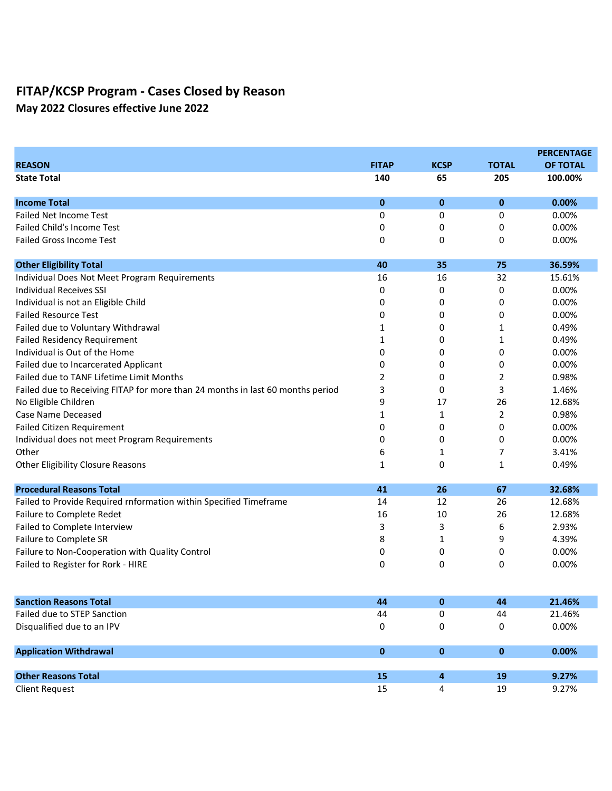May 2022 Closures effective June 2022

|                                                                                |              |             |              | <b>PERCENTAGE</b> |
|--------------------------------------------------------------------------------|--------------|-------------|--------------|-------------------|
| <b>REASON</b>                                                                  | <b>FITAP</b> | <b>KCSP</b> | <b>TOTAL</b> | <b>OF TOTAL</b>   |
| <b>State Total</b>                                                             | 140          | 65          | 205          | 100.00%           |
| <b>Income Total</b>                                                            | 0            | $\mathbf 0$ | $\bf{0}$     | 0.00%             |
| Failed Net Income Test                                                         | 0            | 0           | 0            | 0.00%             |
| <b>Failed Child's Income Test</b>                                              | 0            | 0           | 0            | 0.00%             |
| <b>Failed Gross Income Test</b>                                                | 0            | 0           | 0            | 0.00%             |
| <b>Other Eligibility Total</b>                                                 | 40           | 35          | 75           | 36.59%            |
| Individual Does Not Meet Program Requirements                                  | 16           | 16          | 32           | 15.61%            |
| <b>Individual Receives SSI</b>                                                 | 0            | 0           | 0            | 0.00%             |
| Individual is not an Eligible Child                                            | 0            | 0           | 0            | 0.00%             |
| <b>Failed Resource Test</b>                                                    | 0            | 0           | 0            | 0.00%             |
| Failed due to Voluntary Withdrawal                                             | 1            | 0           | 1            | 0.49%             |
| <b>Failed Residency Requirement</b>                                            | 1            | 0           | 1            | 0.49%             |
| Individual is Out of the Home                                                  | 0            | 0           | 0            | 0.00%             |
| Failed due to Incarcerated Applicant                                           | 0            | 0           | 0            | 0.00%             |
| Failed due to TANF Lifetime Limit Months                                       | 2            | 0           | 2            | 0.98%             |
| Failed due to Receiving FITAP for more than 24 months in last 60 months period | 3            | 0           | 3            | 1.46%             |
| No Eligible Children                                                           | 9            | 17          | 26           | 12.68%            |
| <b>Case Name Deceased</b>                                                      | 1            | 1           | 2            | 0.98%             |
| <b>Failed Citizen Requirement</b>                                              | 0            | 0           | 0            | 0.00%             |
| Individual does not meet Program Requirements                                  | 0            | 0           | 0            | 0.00%             |
| Other                                                                          | 6            | 1           | 7            | 3.41%             |
| Other Eligibility Closure Reasons                                              | 1            | 0           | 1            | 0.49%             |
| <b>Procedural Reasons Total</b>                                                | 41           | 26          | 67           | 32.68%            |
| Failed to Provide Required rnformation within Specified Timeframe              | 14           | 12          | 26           | 12.68%            |
| Failure to Complete Redet                                                      | 16           | 10          | 26           | 12.68%            |
| Failed to Complete Interview                                                   | 3            | 3           | 6            | 2.93%             |
| Failure to Complete SR                                                         | 8            | 1           | 9            | 4.39%             |
| Failure to Non-Cooperation with Quality Control                                | 0            | 0           | 0            | 0.00%             |
| Failed to Register for Rork - HIRE                                             | 0            | 0           | 0            | 0.00%             |
| <b>Sanction Reasons Total</b>                                                  | 44           | $\bf{0}$    | 44           | 21.46%            |
| Failed due to STEP Sanction                                                    | 44           | 0           | 44           | 21.46%            |
| Disqualified due to an IPV                                                     | 0            | 0           | 0            | 0.00%             |
|                                                                                |              |             |              |                   |
| <b>Application Withdrawal</b>                                                  | 0            | $\mathbf 0$ | $\pmb{0}$    | 0.00%             |
|                                                                                |              |             |              |                   |
| <b>Other Reasons Total</b>                                                     | 15           | 4           | 19           | 9.27%             |
| <b>Client Request</b>                                                          | 15           | 4           | 19           | 9.27%             |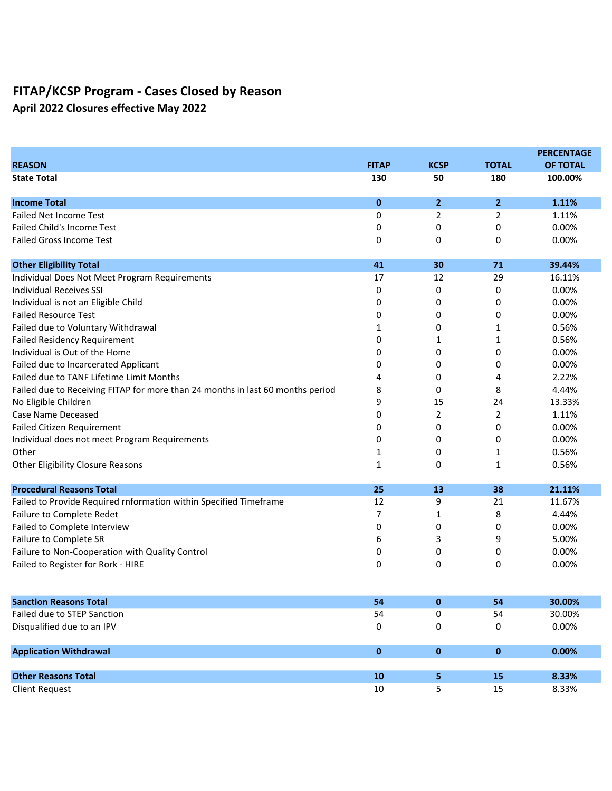April 2022 Closures effective May 2022

|                                                                                |              |                |                | <b>PERCENTAGE</b> |
|--------------------------------------------------------------------------------|--------------|----------------|----------------|-------------------|
| <b>REASON</b>                                                                  | <b>FITAP</b> | <b>KCSP</b>    | <b>TOTAL</b>   | <b>OF TOTAL</b>   |
| <b>State Total</b>                                                             | 130          | 50             | 180            | 100.00%           |
| <b>Income Total</b>                                                            | $\mathbf{0}$ | $\overline{2}$ | $\overline{2}$ | 1.11%             |
| <b>Failed Net Income Test</b>                                                  | 0            | 2              | 2              | 1.11%             |
| <b>Failed Child's Income Test</b>                                              | 0            | 0              | 0              | 0.00%             |
| <b>Failed Gross Income Test</b>                                                | 0            | 0              | 0              | 0.00%             |
| <b>Other Eligibility Total</b>                                                 | 41           | 30             | 71             | 39.44%            |
| Individual Does Not Meet Program Requirements                                  | 17           | 12             | 29             | 16.11%            |
| Individual Receives SSI                                                        | 0            | 0              | 0              | 0.00%             |
| Individual is not an Eligible Child                                            | 0            | 0              | 0              | 0.00%             |
| <b>Failed Resource Test</b>                                                    | 0            | 0              | 0              | 0.00%             |
| Failed due to Voluntary Withdrawal                                             | 1            | 0              | $\mathbf{1}$   | 0.56%             |
| <b>Failed Residency Requirement</b>                                            | 0            | 1              | $\mathbf{1}$   | 0.56%             |
| Individual is Out of the Home                                                  | 0            | 0              | 0              | 0.00%             |
| Failed due to Incarcerated Applicant                                           | 0            | 0              | 0              | 0.00%             |
| Failed due to TANF Lifetime Limit Months                                       | 4            | 0              | 4              | 2.22%             |
| Failed due to Receiving FITAP for more than 24 months in last 60 months period | 8            | 0              | 8              | 4.44%             |
| No Eligible Children                                                           | 9            | 15             | 24             | 13.33%            |
| Case Name Deceased                                                             | 0            | 2              | $\overline{2}$ | 1.11%             |
| <b>Failed Citizen Requirement</b>                                              | 0            | 0              | 0              | 0.00%             |
| Individual does not meet Program Requirements                                  | 0            | 0              | 0              | 0.00%             |
| Other                                                                          | 1            | 0              | 1              | 0.56%             |
| <b>Other Eligibility Closure Reasons</b>                                       | 1            | 0              | 1              | 0.56%             |
| <b>Procedural Reasons Total</b>                                                | 25           | 13             | 38             | 21.11%            |
| Failed to Provide Required rnformation within Specified Timeframe              | 12           | 9              | 21             | 11.67%            |
| Failure to Complete Redet                                                      | 7            | 1              | 8              | 4.44%             |
| Failed to Complete Interview                                                   | 0            | 0              | 0              | 0.00%             |
| Failure to Complete SR                                                         | 6            | 3              | 9              | 5.00%             |
| Failure to Non-Cooperation with Quality Control                                | 0            | 0              | 0              | 0.00%             |
| Failed to Register for Rork - HIRE                                             | 0            | 0              | 0              | 0.00%             |
| <b>Sanction Reasons Total</b>                                                  | 54           | $\pmb{0}$      | 54             | 30.00%            |
| Failed due to STEP Sanction                                                    | 54           | 0              | 54             | 30.00%            |
| Disqualified due to an IPV                                                     | 0            | 0              | 0              | 0.00%             |
| <b>Application Withdrawal</b>                                                  | $\bf{0}$     | $\pmb{0}$      | $\pmb{0}$      | 0.00%             |
|                                                                                |              |                |                |                   |
| <b>Other Reasons Total</b>                                                     | 10           | 5              | 15             | 8.33%             |
| <b>Client Request</b>                                                          | 10           | 5              | 15             | 8.33%             |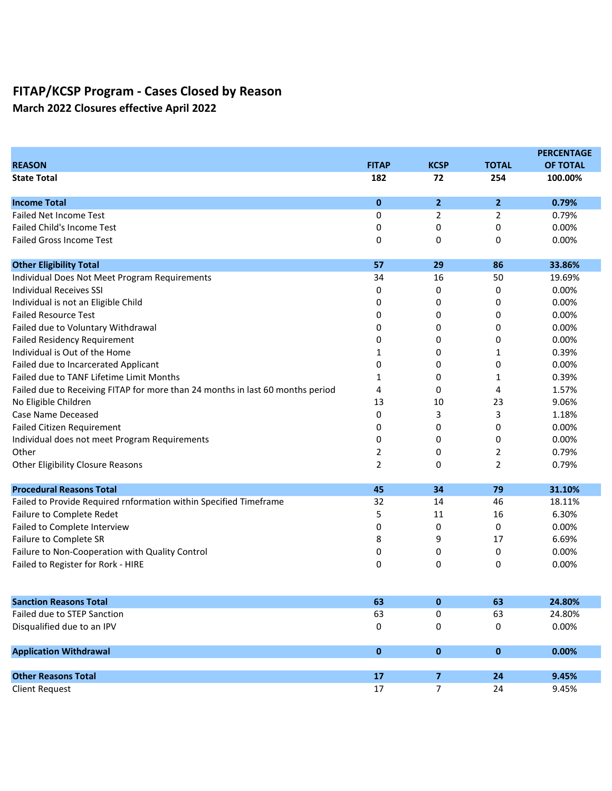March 2022 Closures effective April 2022

|                                                                                |                |                         |                | <b>PERCENTAGE</b> |
|--------------------------------------------------------------------------------|----------------|-------------------------|----------------|-------------------|
| <b>REASON</b>                                                                  | <b>FITAP</b>   | <b>KCSP</b>             | <b>TOTAL</b>   | <b>OF TOTAL</b>   |
| <b>State Total</b>                                                             | 182            | 72                      | 254            | 100.00%           |
| <b>Income Total</b>                                                            | $\bf{0}$       | $\overline{2}$          | $\overline{2}$ | 0.79%             |
| Failed Net Income Test                                                         | 0              | 2                       | 2              | 0.79%             |
| <b>Failed Child's Income Test</b>                                              | 0              | 0                       | 0              | 0.00%             |
| <b>Failed Gross Income Test</b>                                                | 0              | 0                       | 0              | 0.00%             |
| <b>Other Eligibility Total</b>                                                 | 57             | 29                      | 86             | 33.86%            |
| Individual Does Not Meet Program Requirements                                  | 34             | 16                      | 50             | 19.69%            |
| <b>Individual Receives SSI</b>                                                 | 0              | 0                       | 0              | 0.00%             |
| Individual is not an Eligible Child                                            | 0              | 0                       | 0              | 0.00%             |
| <b>Failed Resource Test</b>                                                    | 0              | 0                       | 0              | 0.00%             |
| Failed due to Voluntary Withdrawal                                             | 0              | 0                       | 0              | 0.00%             |
| <b>Failed Residency Requirement</b>                                            | 0              | 0                       | 0              | 0.00%             |
| Individual is Out of the Home                                                  | 1              | 0                       | 1              | 0.39%             |
| Failed due to Incarcerated Applicant                                           | 0              | 0                       | 0              | 0.00%             |
| Failed due to TANF Lifetime Limit Months                                       | 1              | 0                       | 1              | 0.39%             |
| Failed due to Receiving FITAP for more than 24 months in last 60 months period | 4              | 0                       | 4              | 1.57%             |
| No Eligible Children                                                           | 13             | 10                      | 23             | 9.06%             |
| <b>Case Name Deceased</b>                                                      | 0              | 3                       | 3              | 1.18%             |
| <b>Failed Citizen Requirement</b>                                              | 0              | 0                       | 0              | 0.00%             |
| Individual does not meet Program Requirements                                  | 0              | 0                       | 0              | 0.00%             |
| Other                                                                          | 2              | 0                       | 2              | 0.79%             |
| <b>Other Eligibility Closure Reasons</b>                                       | $\overline{2}$ | 0                       | 2              | 0.79%             |
| <b>Procedural Reasons Total</b>                                                | 45             | 34                      | 79             | 31.10%            |
| Failed to Provide Required rnformation within Specified Timeframe              | 32             | 14                      | 46             | 18.11%            |
| Failure to Complete Redet                                                      | 5              | 11                      | 16             | 6.30%             |
| Failed to Complete Interview                                                   | 0              | 0                       | 0              | 0.00%             |
| Failure to Complete SR                                                         | 8              | 9                       | 17             | 6.69%             |
| Failure to Non-Cooperation with Quality Control                                | 0              | 0                       | 0              | 0.00%             |
| Failed to Register for Rork - HIRE                                             | 0              | 0                       | 0              | 0.00%             |
| <b>Sanction Reasons Total</b>                                                  | 63             | $\bf{0}$                | 63             | 24.80%            |
| Failed due to STEP Sanction                                                    | 63             | 0                       | 63             | 24.80%            |
| Disqualified due to an IPV                                                     | 0              | 0                       | 0              | 0.00%             |
| <b>Application Withdrawal</b>                                                  | $\pmb{0}$      | $\pmb{0}$               | $\mathbf 0$    | 0.00%             |
|                                                                                |                |                         |                |                   |
| <b>Other Reasons Total</b>                                                     | 17             | $\overline{\mathbf{z}}$ | 24             | 9.45%             |
| <b>Client Request</b>                                                          | 17             | $\overline{7}$          | 24             | 9.45%             |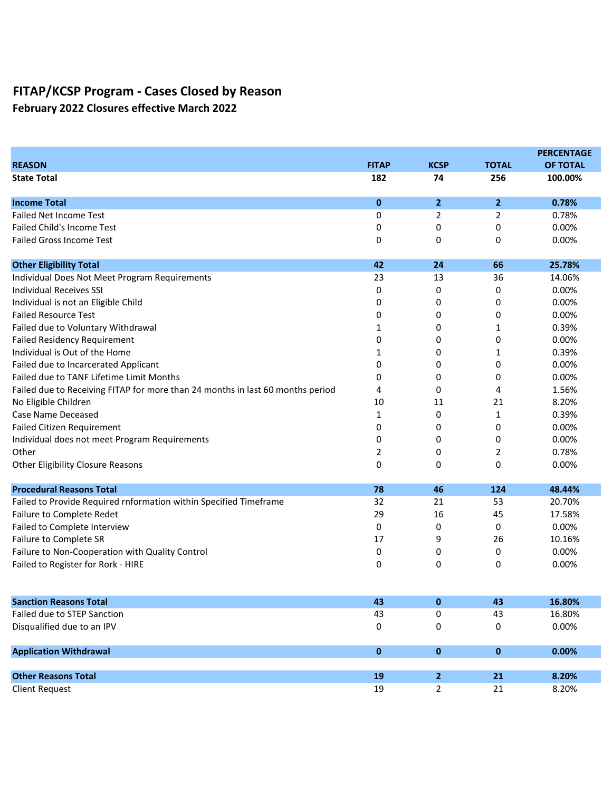February 2022 Closures effective March 2022

|                                                                                |              |                |                | <b>PERCENTAGE</b> |
|--------------------------------------------------------------------------------|--------------|----------------|----------------|-------------------|
| <b>REASON</b>                                                                  | <b>FITAP</b> | <b>KCSP</b>    | <b>TOTAL</b>   | <b>OF TOTAL</b>   |
| <b>State Total</b>                                                             | 182          | 74             | 256            | 100.00%           |
| <b>Income Total</b>                                                            | $\mathbf{0}$ | $\overline{2}$ | $\overline{2}$ | 0.78%             |
| <b>Failed Net Income Test</b>                                                  | 0            | 2              | 2              | 0.78%             |
| <b>Failed Child's Income Test</b>                                              | 0            | 0              | 0              | 0.00%             |
| <b>Failed Gross Income Test</b>                                                | 0            | 0              | 0              | 0.00%             |
| <b>Other Eligibility Total</b>                                                 | 42           | 24             | 66             | 25.78%            |
| Individual Does Not Meet Program Requirements                                  | 23           | 13             | 36             | 14.06%            |
| <b>Individual Receives SSI</b>                                                 | 0            | 0              | 0              | 0.00%             |
| Individual is not an Eligible Child                                            | 0            | 0              | 0              | 0.00%             |
| <b>Failed Resource Test</b>                                                    | 0            | 0              | 0              | 0.00%             |
| Failed due to Voluntary Withdrawal                                             | 1            | 0              | 1              | 0.39%             |
| <b>Failed Residency Requirement</b>                                            | 0            | 0              | 0              | 0.00%             |
| Individual is Out of the Home                                                  | 1            | 0              | $\mathbf{1}$   | 0.39%             |
| Failed due to Incarcerated Applicant                                           | 0            | 0              | 0              | 0.00%             |
| Failed due to TANF Lifetime Limit Months                                       | 0            | 0              | 0              | 0.00%             |
| Failed due to Receiving FITAP for more than 24 months in last 60 months period | 4            | 0              | 4              | 1.56%             |
| No Eligible Children                                                           | 10           | 11             | 21             | 8.20%             |
| <b>Case Name Deceased</b>                                                      | 1            | 0              | 1              | 0.39%             |
| <b>Failed Citizen Requirement</b>                                              | 0            | 0              | 0              | 0.00%             |
| Individual does not meet Program Requirements                                  | 0            | 0              | 0              | 0.00%             |
| Other                                                                          | 2            | 0              | 2              | 0.78%             |
| <b>Other Eligibility Closure Reasons</b>                                       | 0            | 0              | 0              | 0.00%             |
| <b>Procedural Reasons Total</b>                                                | 78           | 46             | 124            | 48.44%            |
| Failed to Provide Required rnformation within Specified Timeframe              | 32           | 21             | 53             | 20.70%            |
| Failure to Complete Redet                                                      | 29           | 16             | 45             | 17.58%            |
| Failed to Complete Interview                                                   | 0            | 0              | 0              | 0.00%             |
| Failure to Complete SR                                                         | 17           | 9              | 26             | 10.16%            |
| Failure to Non-Cooperation with Quality Control                                | 0            | 0              | 0              | 0.00%             |
| Failed to Register for Rork - HIRE                                             | 0            | 0              | 0              | 0.00%             |
| <b>Sanction Reasons Total</b>                                                  | 43           | 0              | 43             | 16.80%            |
| Failed due to STEP Sanction                                                    | 43           | 0              | 43             | 16.80%            |
| Disqualified due to an IPV                                                     | 0            | 0              | 0              | 0.00%             |
| <b>Application Withdrawal</b>                                                  | $\pmb{0}$    | $\pmb{0}$      | $\mathbf 0$    | 0.00%             |
|                                                                                |              |                |                |                   |
| <b>Other Reasons Total</b>                                                     | 19           | 2 <sup>1</sup> | 21             | 8.20%             |
| <b>Client Request</b>                                                          | 19           | $\overline{2}$ | 21             | 8.20%             |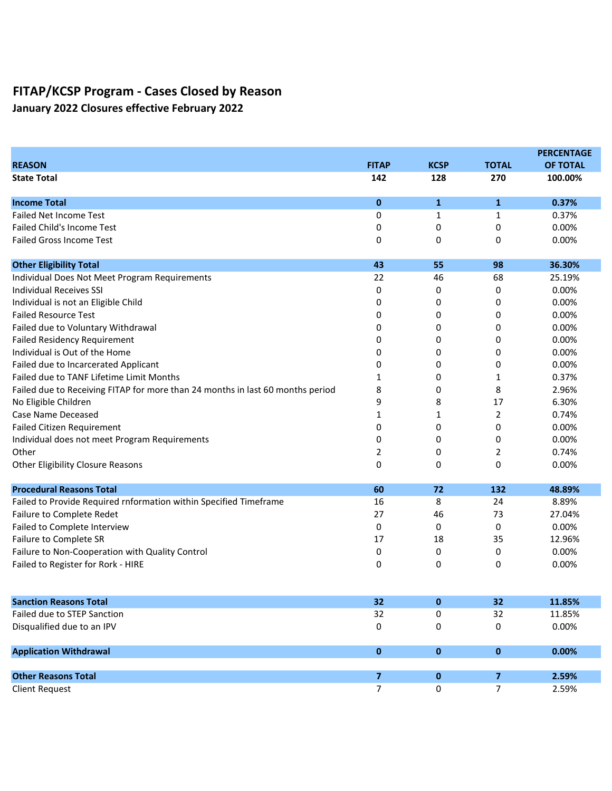January 2022 Closures effective February 2022

|                                                                                |                |             |                | <b>PERCENTAGE</b> |
|--------------------------------------------------------------------------------|----------------|-------------|----------------|-------------------|
| <b>REASON</b>                                                                  | <b>FITAP</b>   | <b>KCSP</b> | <b>TOTAL</b>   | <b>OF TOTAL</b>   |
| <b>State Total</b>                                                             | 142            | 128         | 270            | 100.00%           |
| <b>Income Total</b>                                                            | $\mathbf 0$    | 1           | $\mathbf{1}$   | 0.37%             |
| <b>Failed Net Income Test</b>                                                  | 0              | 1           | 1              | 0.37%             |
| <b>Failed Child's Income Test</b>                                              | 0              | 0           | 0              | 0.00%             |
| <b>Failed Gross Income Test</b>                                                | 0              | 0           | 0              | 0.00%             |
| <b>Other Eligibility Total</b>                                                 | 43             | 55          | 98             | 36.30%            |
| Individual Does Not Meet Program Requirements                                  | 22             | 46          | 68             | 25.19%            |
| <b>Individual Receives SSI</b>                                                 | 0              | 0           | 0              | 0.00%             |
| Individual is not an Eligible Child                                            | 0              | 0           | 0              | 0.00%             |
| <b>Failed Resource Test</b>                                                    | 0              | 0           | 0              | 0.00%             |
| Failed due to Voluntary Withdrawal                                             | 0              | 0           | 0              | 0.00%             |
| <b>Failed Residency Requirement</b>                                            | 0              | 0           | 0              | 0.00%             |
| Individual is Out of the Home                                                  | 0              | 0           | 0              | 0.00%             |
| Failed due to Incarcerated Applicant                                           | 0              | 0           | 0              | 0.00%             |
| Failed due to TANF Lifetime Limit Months                                       | 1              | 0           | 1              | 0.37%             |
| Failed due to Receiving FITAP for more than 24 months in last 60 months period | 8              | 0           | 8              | 2.96%             |
| No Eligible Children                                                           | 9              | 8           | 17             | 6.30%             |
| <b>Case Name Deceased</b>                                                      | 1              | 1           | $\overline{2}$ | 0.74%             |
| <b>Failed Citizen Requirement</b>                                              | 0              | 0           | 0              | 0.00%             |
| Individual does not meet Program Requirements                                  | 0              | 0           | 0              | 0.00%             |
| Other                                                                          | 2              | 0           | 2              | 0.74%             |
| <b>Other Eligibility Closure Reasons</b>                                       | 0              | 0           | 0              | 0.00%             |
| <b>Procedural Reasons Total</b>                                                | 60             | 72          | 132            | 48.89%            |
| Failed to Provide Required rnformation within Specified Timeframe              | 16             | 8           | 24             | 8.89%             |
| Failure to Complete Redet                                                      | 27             | 46          | 73             | 27.04%            |
| Failed to Complete Interview                                                   | 0              | 0           | 0              | 0.00%             |
| Failure to Complete SR                                                         | 17             | 18          | 35             | 12.96%            |
| Failure to Non-Cooperation with Quality Control                                | 0              | 0           | 0              | 0.00%             |
| Failed to Register for Rork - HIRE                                             | 0              | 0           | 0              | 0.00%             |
| <b>Sanction Reasons Total</b>                                                  | 32             | 0           | 32             | 11.85%            |
| Failed due to STEP Sanction                                                    | 32             | 0           | 32             | 11.85%            |
| Disqualified due to an IPV                                                     | 0              | 0           | 0              | 0.00%             |
| <b>Application Withdrawal</b>                                                  | $\pmb{0}$      | $\pmb{0}$   | $\mathbf 0$    | 0.00%             |
|                                                                                |                |             |                |                   |
| <b>Other Reasons Total</b>                                                     | $\overline{7}$ | 0           | $\overline{7}$ | 2.59%             |
| <b>Client Request</b>                                                          | 7              | 0           | $\overline{7}$ | 2.59%             |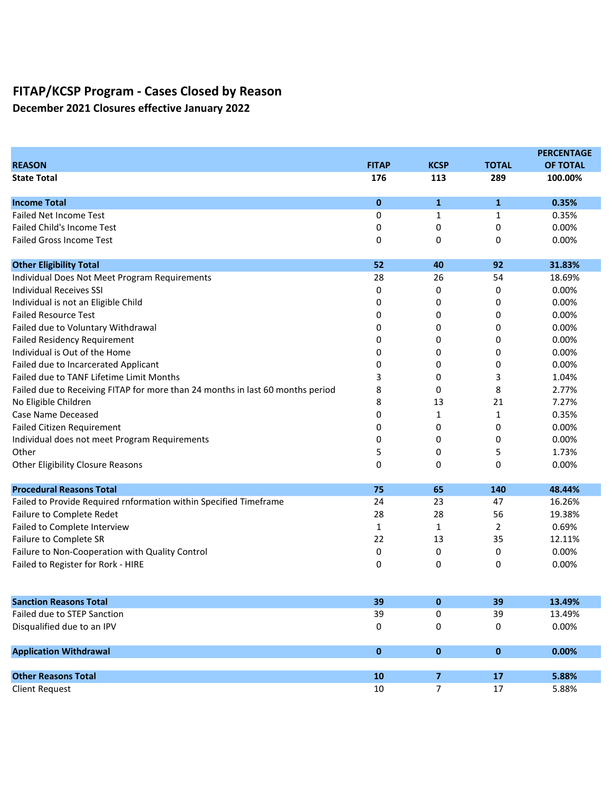December 2021 Closures effective January 2022

|                                                                                |              |                |              | <b>PERCENTAGE</b> |
|--------------------------------------------------------------------------------|--------------|----------------|--------------|-------------------|
| <b>REASON</b>                                                                  | <b>FITAP</b> | <b>KCSP</b>    | <b>TOTAL</b> | <b>OF TOTAL</b>   |
| <b>State Total</b>                                                             | 176          | 113            | 289          | 100.00%           |
| <b>Income Total</b>                                                            | $\mathbf 0$  | 1              | $\mathbf{1}$ | 0.35%             |
| <b>Failed Net Income Test</b>                                                  | 0            | 1              | 1            | 0.35%             |
| <b>Failed Child's Income Test</b>                                              | 0            | 0              | 0            | 0.00%             |
| <b>Failed Gross Income Test</b>                                                | 0            | 0              | 0            | 0.00%             |
| <b>Other Eligibility Total</b>                                                 | 52           | 40             | 92           | 31.83%            |
| Individual Does Not Meet Program Requirements                                  | 28           | 26             | 54           | 18.69%            |
| <b>Individual Receives SSI</b>                                                 | 0            | 0              | 0            | 0.00%             |
| Individual is not an Eligible Child                                            | 0            | 0              | 0            | 0.00%             |
| <b>Failed Resource Test</b>                                                    | 0            | 0              | 0            | 0.00%             |
| Failed due to Voluntary Withdrawal                                             | 0            | 0              | 0            | 0.00%             |
| <b>Failed Residency Requirement</b>                                            | 0            | 0              | 0            | 0.00%             |
| Individual is Out of the Home                                                  | 0            | 0              | 0            | 0.00%             |
| Failed due to Incarcerated Applicant                                           | 0            | 0              | 0            | 0.00%             |
| Failed due to TANF Lifetime Limit Months                                       | 3            | 0              | 3            | 1.04%             |
| Failed due to Receiving FITAP for more than 24 months in last 60 months period | 8            | 0              | 8            | 2.77%             |
| No Eligible Children                                                           | 8            | 13             | 21           | 7.27%             |
| Case Name Deceased                                                             | 0            | 1              | $\mathbf{1}$ | 0.35%             |
| <b>Failed Citizen Requirement</b>                                              | 0            | 0              | 0            | 0.00%             |
| Individual does not meet Program Requirements                                  | 0            | 0              | 0            | 0.00%             |
| Other                                                                          | 5            | 0              | 5            | 1.73%             |
| <b>Other Eligibility Closure Reasons</b>                                       | 0            | 0              | 0            | 0.00%             |
| <b>Procedural Reasons Total</b>                                                | 75           | 65             | 140          | 48.44%            |
| Failed to Provide Required rnformation within Specified Timeframe              | 24           | 23             | 47           | 16.26%            |
| Failure to Complete Redet                                                      | 28           | 28             | 56           | 19.38%            |
| Failed to Complete Interview                                                   | $\mathbf{1}$ | 1              | 2            | 0.69%             |
| Failure to Complete SR                                                         | 22           | 13             | 35           | 12.11%            |
| Failure to Non-Cooperation with Quality Control                                | 0            | 0              | 0            | 0.00%             |
| Failed to Register for Rork - HIRE                                             | 0            | 0              | 0            | 0.00%             |
| <b>Sanction Reasons Total</b>                                                  | 39           | 0              | 39           | 13.49%            |
| Failed due to STEP Sanction                                                    | 39           | 0              | 39           | 13.49%            |
| Disqualified due to an IPV                                                     | 0            | 0              | 0            | 0.00%             |
| <b>Application Withdrawal</b>                                                  | $\pmb{0}$    | $\pmb{0}$      | $\mathbf 0$  | 0.00%             |
|                                                                                |              |                |              |                   |
| <b>Other Reasons Total</b>                                                     | 10           | $\overline{7}$ | 17           | 5.88%             |
| <b>Client Request</b>                                                          | 10           | 7              | $17\,$       | 5.88%             |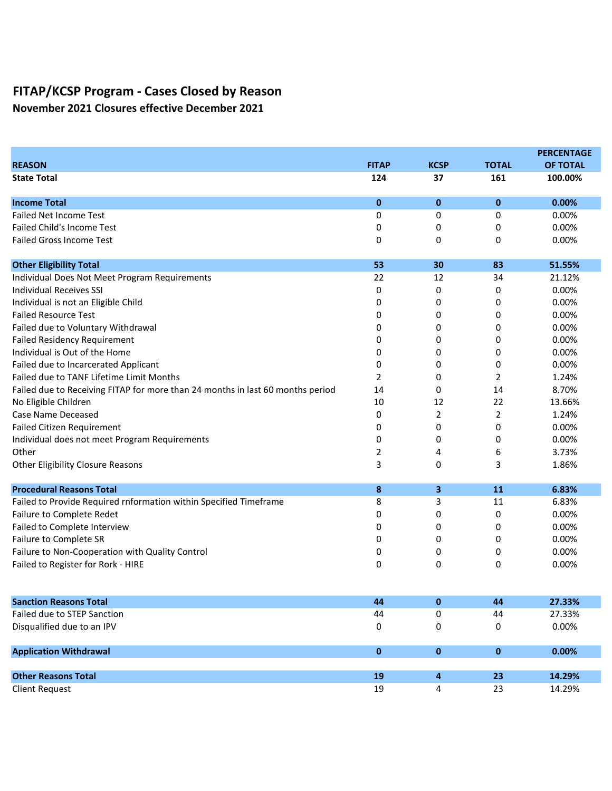November 2021 Closures effective December 2021

|                                                                                |              |             |                | <b>PERCENTAGE</b> |
|--------------------------------------------------------------------------------|--------------|-------------|----------------|-------------------|
| <b>REASON</b>                                                                  | <b>FITAP</b> | <b>KCSP</b> | <b>TOTAL</b>   | <b>OF TOTAL</b>   |
| <b>State Total</b>                                                             | 124          | 37          | 161            | 100.00%           |
| <b>Income Total</b>                                                            | $\mathbf{0}$ | $\bf{0}$    | $\bf{0}$       | 0.00%             |
| <b>Failed Net Income Test</b>                                                  | 0            | 0           | 0              | 0.00%             |
| <b>Failed Child's Income Test</b>                                              | 0            | 0           | 0              | 0.00%             |
| <b>Failed Gross Income Test</b>                                                | 0            | 0           | 0              | 0.00%             |
| <b>Other Eligibility Total</b>                                                 | 53           | 30          | 83             | 51.55%            |
| Individual Does Not Meet Program Requirements                                  | 22           | 12          | 34             | 21.12%            |
| <b>Individual Receives SSI</b>                                                 | 0            | 0           | 0              | 0.00%             |
| Individual is not an Eligible Child                                            | 0            | 0           | 0              | 0.00%             |
| <b>Failed Resource Test</b>                                                    | 0            | 0           | 0              | 0.00%             |
| Failed due to Voluntary Withdrawal                                             | 0            | 0           | 0              | 0.00%             |
| <b>Failed Residency Requirement</b>                                            | 0            | 0           | 0              | 0.00%             |
| Individual is Out of the Home                                                  | 0            | 0           | 0              | 0.00%             |
| Failed due to Incarcerated Applicant                                           | 0            | 0           | 0              | 0.00%             |
| Failed due to TANF Lifetime Limit Months                                       | 2            | 0           | 2              | 1.24%             |
| Failed due to Receiving FITAP for more than 24 months in last 60 months period | 14           | 0           | 14             | 8.70%             |
| No Eligible Children                                                           | 10           | 12          | 22             | 13.66%            |
| Case Name Deceased                                                             | 0            | 2           | $\overline{2}$ | 1.24%             |
| <b>Failed Citizen Requirement</b>                                              | 0            | 0           | 0              | 0.00%             |
| Individual does not meet Program Requirements                                  | 0            | 0           | 0              | 0.00%             |
| Other                                                                          | 2            | 4           | 6              | 3.73%             |
| <b>Other Eligibility Closure Reasons</b>                                       | 3            | 0           | 3              | 1.86%             |
| <b>Procedural Reasons Total</b>                                                | 8            | 3           | 11             | 6.83%             |
| Failed to Provide Required rnformation within Specified Timeframe              | 8            | 3           | 11             | 6.83%             |
| Failure to Complete Redet                                                      | 0            | 0           | 0              | 0.00%             |
| Failed to Complete Interview                                                   | 0            | 0           | 0              | 0.00%             |
| Failure to Complete SR                                                         | 0            | 0           | 0              | 0.00%             |
| Failure to Non-Cooperation with Quality Control                                | 0            | 0           | 0              | 0.00%             |
| Failed to Register for Rork - HIRE                                             | 0            | 0           | 0              | 0.00%             |
| <b>Sanction Reasons Total</b>                                                  | 44           | 0           | 44             | 27.33%            |
| Failed due to STEP Sanction                                                    | 44           | 0           | 44             | 27.33%            |
| Disqualified due to an IPV                                                     | 0            | 0           | 0              | 0.00%             |
| <b>Application Withdrawal</b>                                                  | $\pmb{0}$    | $\pmb{0}$   | $\mathbf 0$    | 0.00%             |
|                                                                                |              |             |                |                   |
| <b>Other Reasons Total</b>                                                     | 19           | 4           | 23             | 14.29%            |
| <b>Client Request</b>                                                          | 19           | 4           | 23             | 14.29%            |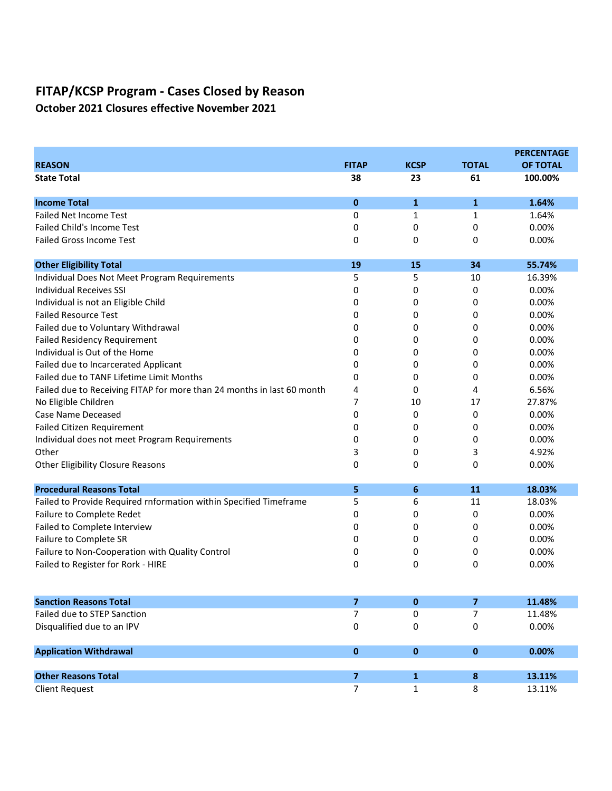October 2021 Closures effective November 2021

|                                                                        |                         |                              |              | <b>PERCENTAGE</b> |
|------------------------------------------------------------------------|-------------------------|------------------------------|--------------|-------------------|
| <b>REASON</b>                                                          | <b>FITAP</b>            | <b>KCSP</b>                  | <b>TOTAL</b> | <b>OF TOTAL</b>   |
| <b>State Total</b>                                                     | 38                      | 23                           | 61           | 100.00%           |
| <b>Income Total</b>                                                    | 0                       | 1                            | 1            | 1.64%             |
| <b>Failed Net Income Test</b>                                          | 0                       | 1                            | 1            | 1.64%             |
| <b>Failed Child's Income Test</b>                                      | 0                       | 0                            | 0            | 0.00%             |
| <b>Failed Gross Income Test</b>                                        | 0                       | 0                            | 0            | 0.00%             |
| <b>Other Eligibility Total</b>                                         | 19                      | 15                           | 34           | 55.74%            |
| Individual Does Not Meet Program Requirements                          | 5                       | 5                            | 10           | 16.39%            |
| Individual Receives SSI                                                | 0                       | 0                            | 0            | 0.00%             |
| Individual is not an Eligible Child                                    | 0                       | 0                            | 0            | 0.00%             |
| <b>Failed Resource Test</b>                                            | 0                       | 0                            | 0            | 0.00%             |
| Failed due to Voluntary Withdrawal                                     | 0                       | 0                            | 0            | 0.00%             |
| <b>Failed Residency Requirement</b>                                    | 0                       | 0                            | 0            | 0.00%             |
| Individual is Out of the Home                                          | 0                       | 0                            | 0            | 0.00%             |
| Failed due to Incarcerated Applicant                                   | 0                       | 0                            | 0            | 0.00%             |
| Failed due to TANF Lifetime Limit Months                               | 0                       | 0                            | 0            | 0.00%             |
| Failed due to Receiving FITAP for more than 24 months in last 60 month | 4                       | 0                            | 4            | 6.56%             |
| No Eligible Children                                                   | 7                       | 10                           | 17           | 27.87%            |
| Case Name Deceased                                                     | 0                       | 0                            | 0            | 0.00%             |
| Failed Citizen Requirement                                             | 0                       | 0                            | 0            | 0.00%             |
| Individual does not meet Program Requirements                          | 0                       | 0                            | 0            | 0.00%             |
| Other                                                                  | 3                       | 0                            | 3            | 4.92%             |
| <b>Other Eligibility Closure Reasons</b>                               | 0                       | 0                            | 0            | 0.00%             |
| <b>Procedural Reasons Total</b>                                        | 5                       | 6                            | 11           | 18.03%            |
| Failed to Provide Required rnformation within Specified Timeframe      | 5                       | 6                            | 11           | 18.03%            |
| Failure to Complete Redet                                              | 0                       | 0                            | 0            | 0.00%             |
| Failed to Complete Interview                                           | 0                       | 0                            | 0            | 0.00%             |
| Failure to Complete SR                                                 | 0                       | 0                            | 0            | 0.00%             |
| Failure to Non-Cooperation with Quality Control                        | 0                       | 0                            | 0            | 0.00%             |
| Failed to Register for Rork - HIRE                                     | 0                       | 0                            | 0            | 0.00%             |
| <b>Sanction Reasons Total</b>                                          | $\overline{\mathbf{z}}$ | 0                            | 7            | 11.48%            |
| Failed due to STEP Sanction                                            | 7                       | 0                            | 7            | 11.48%            |
| Disqualified due to an IPV                                             | 0                       | 0                            | 0            | 0.00%             |
| <b>Application Withdrawal</b>                                          | 0                       | $\pmb{0}$                    | $\bf{0}$     | 0.00%             |
| <b>Other Reasons Total</b>                                             | $\overline{\mathbf{z}}$ |                              |              | 13.11%            |
| <b>Client Request</b>                                                  | $\overline{7}$          | $\mathbf{1}$<br>$\mathbf{1}$ | 8<br>8       | 13.11%            |
|                                                                        |                         |                              |              |                   |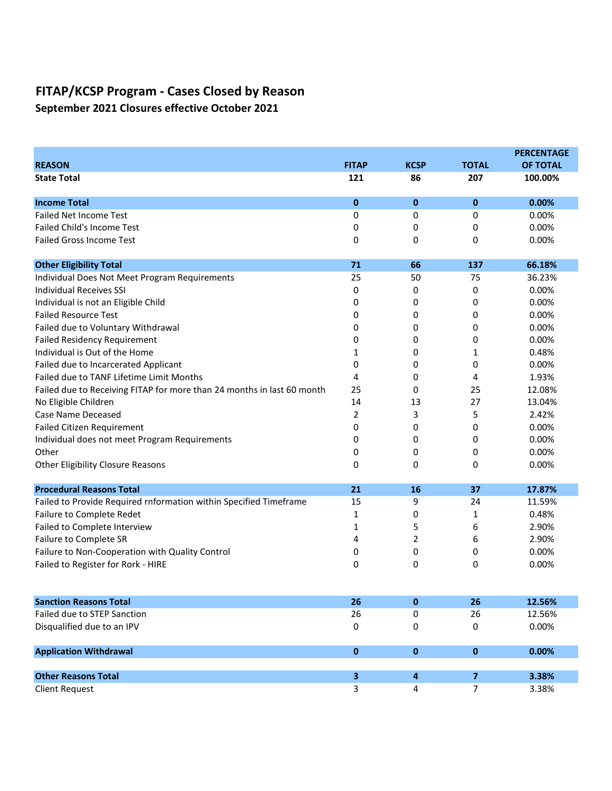September 2021 Closures effective October 2021

|                                                                        |                |             |                | <b>PERCENTAGE</b> |
|------------------------------------------------------------------------|----------------|-------------|----------------|-------------------|
| <b>REASON</b>                                                          | <b>FITAP</b>   | <b>KCSP</b> | <b>TOTAL</b>   | <b>OF TOTAL</b>   |
| <b>State Total</b>                                                     | 121            | 86          | 207            | 100.00%           |
| <b>Income Total</b>                                                    | 0              | $\bf{0}$    | $\mathbf 0$    | 0.00%             |
| <b>Failed Net Income Test</b>                                          | 0              | 0           | 0              | 0.00%             |
| <b>Failed Child's Income Test</b>                                      | 0              | 0           | 0              | 0.00%             |
| <b>Failed Gross Income Test</b>                                        | 0              | 0           | 0              | 0.00%             |
| <b>Other Eligibility Total</b>                                         | 71             | 66          | 137            | 66.18%            |
| Individual Does Not Meet Program Requirements                          | 25             | 50          | 75             | 36.23%            |
| <b>Individual Receives SSI</b>                                         | 0              | 0           | 0              | 0.00%             |
| Individual is not an Eligible Child                                    | 0              | 0           | 0              | 0.00%             |
| <b>Failed Resource Test</b>                                            | 0              | 0           | 0              | 0.00%             |
| Failed due to Voluntary Withdrawal                                     | 0              | 0           | 0              | 0.00%             |
| <b>Failed Residency Requirement</b>                                    | 0              | 0           | 0              | 0.00%             |
| Individual is Out of the Home                                          | 1              | 0           | 1              | 0.48%             |
| Failed due to Incarcerated Applicant                                   | 0              | 0           | 0              | 0.00%             |
| Failed due to TANF Lifetime Limit Months                               | 4              | 0           | 4              | 1.93%             |
| Failed due to Receiving FITAP for more than 24 months in last 60 month | 25             | 0           | 25             | 12.08%            |
| No Eligible Children                                                   | 14             | 13          | 27             | 13.04%            |
| Case Name Deceased                                                     | $\overline{2}$ | 3           | 5              | 2.42%             |
| <b>Failed Citizen Requirement</b>                                      | 0              | 0           | 0              | 0.00%             |
| Individual does not meet Program Requirements                          | 0              | 0           | 0              | 0.00%             |
| Other                                                                  | 0              | 0           | 0              | 0.00%             |
| <b>Other Eligibility Closure Reasons</b>                               | 0              | 0           | 0              | 0.00%             |
| <b>Procedural Reasons Total</b>                                        | 21             | 16          | 37             | 17.87%            |
| Failed to Provide Required rnformation within Specified Timeframe      | 15             | 9           | 24             | 11.59%            |
| Failure to Complete Redet                                              | 1              | 0           | 1              | 0.48%             |
| Failed to Complete Interview                                           | 1              | 5           | 6              | 2.90%             |
| Failure to Complete SR                                                 | 4              | 2           | 6              | 2.90%             |
| Failure to Non-Cooperation with Quality Control                        | 0              | 0           | 0              | 0.00%             |
| Failed to Register for Rork - HIRE                                     | 0              | 0           | 0              | 0.00%             |
| <b>Sanction Reasons Total</b>                                          | 26             | 0           | 26             | 12.56%            |
| Failed due to STEP Sanction                                            | 26             | 0           | 26             | 12.56%            |
| Disqualified due to an IPV                                             | 0              | 0           | 0              | 0.00%             |
| <b>Application Withdrawal</b>                                          | 0              | $\pmb{0}$   | $\bf{0}$       | 0.00%             |
|                                                                        |                |             |                |                   |
| <b>Other Reasons Total</b>                                             | 3              | 4           | $\overline{7}$ | 3.38%             |
| <b>Client Request</b>                                                  | 3              | 4           | $\overline{7}$ | 3.38%             |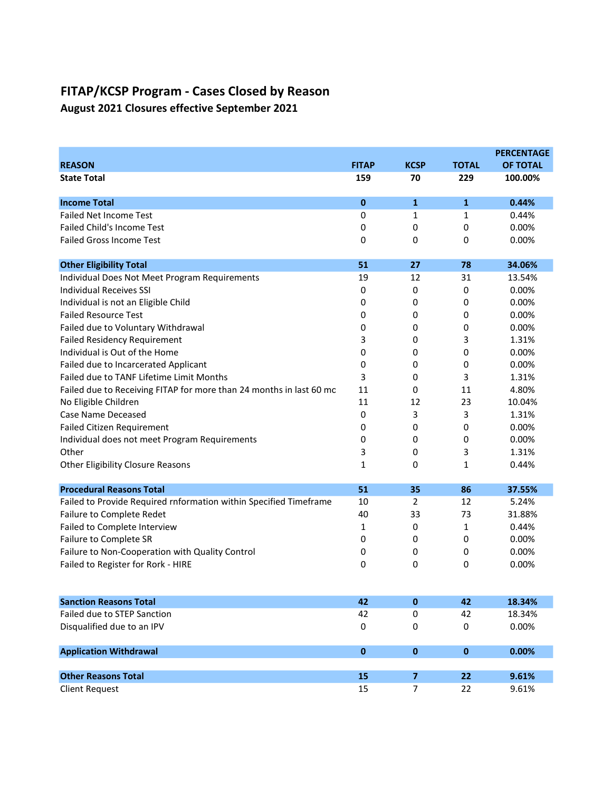August 2021 Closures effective September 2021

|                                                                     |              |                |              | <b>PERCENTAGE</b> |
|---------------------------------------------------------------------|--------------|----------------|--------------|-------------------|
| <b>REASON</b>                                                       | <b>FITAP</b> | <b>KCSP</b>    | <b>TOTAL</b> | <b>OF TOTAL</b>   |
| <b>State Total</b>                                                  | 159          | 70             | 229          | 100.00%           |
| <b>Income Total</b>                                                 | $\mathbf 0$  | $\mathbf{1}$   | 1            | 0.44%             |
| <b>Failed Net Income Test</b>                                       | 0            | 1              | 1            | 0.44%             |
| <b>Failed Child's Income Test</b>                                   | 0            | 0              | 0            | 0.00%             |
| <b>Failed Gross Income Test</b>                                     | 0            | 0              | 0            | 0.00%             |
| <b>Other Eligibility Total</b>                                      | 51           | 27             | 78           | 34.06%            |
| Individual Does Not Meet Program Requirements                       | 19           | 12             | 31           | 13.54%            |
| <b>Individual Receives SSI</b>                                      | 0            | 0              | 0            | 0.00%             |
| Individual is not an Eligible Child                                 | 0            | 0              | 0            | 0.00%             |
| <b>Failed Resource Test</b>                                         | 0            | 0              | 0            | 0.00%             |
| Failed due to Voluntary Withdrawal                                  | 0            | 0              | 0            | 0.00%             |
| <b>Failed Residency Requirement</b>                                 | 3            | 0              | 3            | 1.31%             |
| Individual is Out of the Home                                       | 0            | 0              | 0            | 0.00%             |
| Failed due to Incarcerated Applicant                                | 0            | 0              | 0            | 0.00%             |
| Failed due to TANF Lifetime Limit Months                            | 3            | 0              | 3            | 1.31%             |
| Failed due to Receiving FITAP for more than 24 months in last 60 mo | 11           | 0              | 11           | 4.80%             |
| No Eligible Children                                                | 11           | 12             | 23           | 10.04%            |
| Case Name Deceased                                                  | 0            | 3              | 3            | 1.31%             |
| <b>Failed Citizen Requirement</b>                                   | 0            | 0              | 0            | 0.00%             |
| Individual does not meet Program Requirements                       | 0            | 0              | 0            | 0.00%             |
| Other                                                               | 3            | 0              | 3            | 1.31%             |
| Other Eligibility Closure Reasons                                   | 1            | 0              | 1            | 0.44%             |
| <b>Procedural Reasons Total</b>                                     | 51           | 35             | 86           | 37.55%            |
| Failed to Provide Required rnformation within Specified Timeframe   | 10           | 2              | 12           | 5.24%             |
| Failure to Complete Redet                                           | 40           | 33             | 73           | 31.88%            |
| Failed to Complete Interview                                        | 1            | 0              | 1            | 0.44%             |
| Failure to Complete SR                                              | 0            | 0              | 0            | 0.00%             |
| Failure to Non-Cooperation with Quality Control                     | 0            | 0              | 0            | 0.00%             |
| Failed to Register for Rork - HIRE                                  | 0            | 0              | 0            | 0.00%             |
| <b>Sanction Reasons Total</b>                                       | 42           | $\pmb{0}$      | 42           | 18.34%            |
| Failed due to STEP Sanction                                         | 42           | 0              | 42           | 18.34%            |
| Disqualified due to an IPV                                          | 0            | 0              | 0            | 0.00%             |
| <b>Application Withdrawal</b>                                       | $\pmb{0}$    | $\pmb{0}$      | $\pmb{0}$    | 0.00%             |
|                                                                     |              |                |              |                   |
| <b>Other Reasons Total</b>                                          | 15           | $\overline{7}$ | 22           | 9.61%             |
| <b>Client Request</b>                                               | 15           | 7              | 22           | 9.61%             |